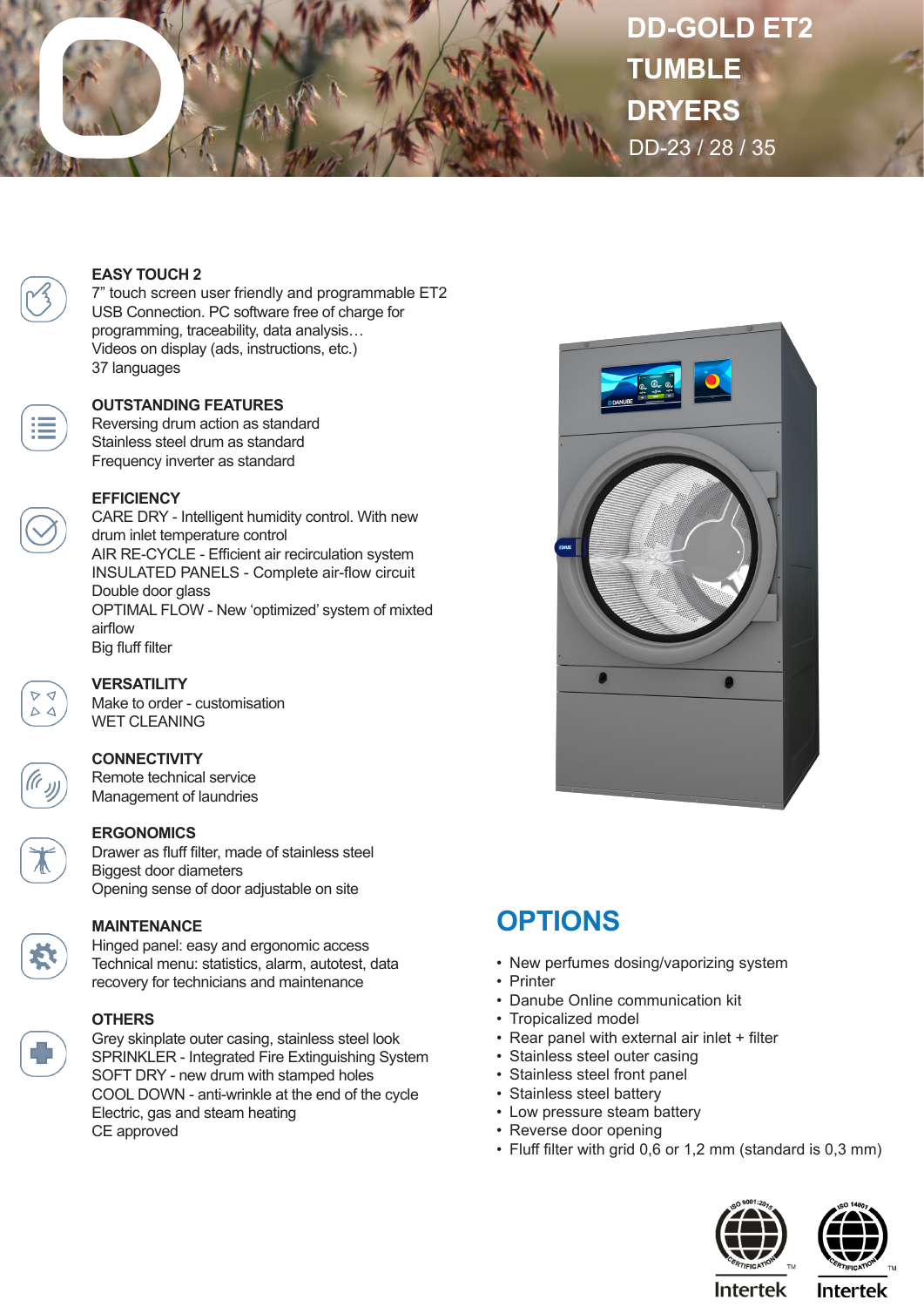

**DD-GOLD ET2 TUMBLE DRYERS** DD-23 / 28 / 35

## **EASY TOUCH 2**

7" touch screen user friendly and programmable ET2 USB Connection. PC software free of charge for programming, traceability, data analysis… Videos on display (ads, instructions, etc.) 37 languages

#### **OUTSTANDING FEATURES**

Reversing drum action as standard Stainless steel drum as standard Frequency inverter as standard

#### **EFFICIENCY**

CARE DRY - Intelligent humidity control. With new drum inlet temperature control AIR RE-CYCLE - Efficient air recirculation system INSULATED PANELS - Complete air-flow circuit Double door glass OPTIMAL FLOW - New 'optimized' system of mixted airflow Big fluff filter



# **VERSATILITY**

Make to order - customisation WET CLEANING

### **CONNECTIVITY**

Remote technical service Management of laundries

### **ERGONOMICS**

Drawer as fluff filter, made of stainless steel Biggest door diameters Opening sense of door adjustable on site

**MAINTENANCE**

Hinged panel: easy and ergonomic access Technical menu: statistics, alarm, autotest, data recovery for technicians and maintenance



#### **OTHERS**

Grey skinplate outer casing, stainless steel look SPRINKLER - Integrated Fire Extinguishing System SOFT DRY - new drum with stamped holes COOL DOWN - anti-wrinkle at the end of the cycle Electric, gas and steam heating CE approved



# **OPTIONS**

- New perfumes dosing/vaporizing system
- Printer
- Danube Online communication kit
- Tropicalized model
- Rear panel with external air inlet + filter
- Stainless steel outer casing
- Stainless steel front panel
- Stainless steel battery
- Low pressure steam battery
- Reverse door opening
- Fluff filter with grid 0,6 or 1,2 mm (standard is 0,3 mm)





**Intertek** 

**Intertek**